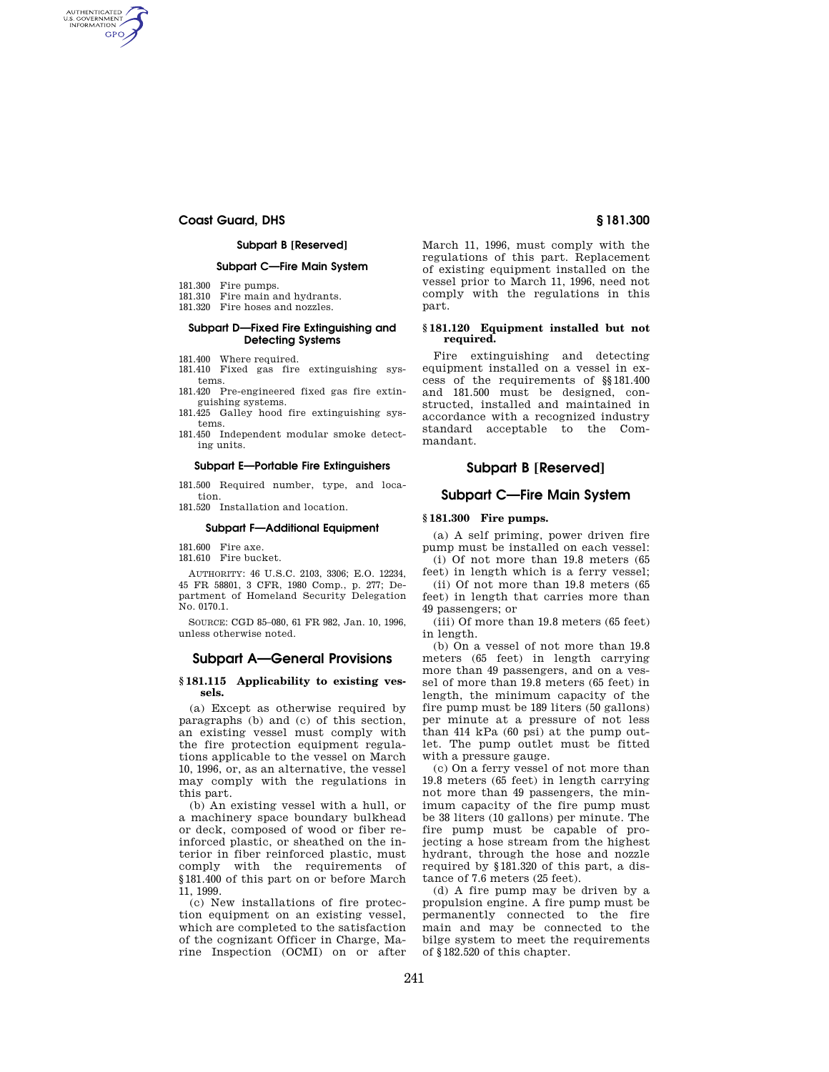# **Coast Guard, DHS § 181.300**

AUTHENTICATED<br>U.S. GOVERNMENT<br>INFORMATION **GPO** 

# **Subpart B [Reserved]**

## **Subpart C—Fire Main System**

- 181.300 Fire pumps.
- 181.310 Fire main and hydrants.
- 181.320 Fire hoses and nozzles.

# **Subpart D—Fixed Fire Extinguishing and Detecting Systems**

- 181.400 Where required.
- 181.410 Fixed gas fire extinguishing systems.
- 181.420 Pre-engineered fixed gas fire extinguishing systems.
- 181.425 Galley hood fire extinguishing systems.
- 181.450 Independent modular smoke detecting units.

# **Subpart E—Portable Fire Extinguishers**

181.500 Required number, type, and location.

181.520 Installation and location.

#### **Subpart F—Additional Equipment**

181.600 Fire axe.

181.610 Fire bucket.

AUTHORITY: 46 U.S.C. 2103, 3306; E.O. 12234, 45 FR 58801, 3 CFR, 1980 Comp., p. 277; Department of Homeland Security Delegation No. 0170.1.

SOURCE: CGD 85–080, 61 FR 982, Jan. 10, 1996, unless otherwise noted.

## **Subpart A—General Provisions**

## **§ 181.115 Applicability to existing vessels.**

(a) Except as otherwise required by paragraphs (b) and (c) of this section, an existing vessel must comply with the fire protection equipment regulations applicable to the vessel on March 10, 1996, or, as an alternative, the vessel may comply with the regulations in this part.

(b) An existing vessel with a hull, or a machinery space boundary bulkhead or deck, composed of wood or fiber reinforced plastic, or sheathed on the interior in fiber reinforced plastic, must comply with the requirements of §181.400 of this part on or before March 11, 1999.

(c) New installations of fire protection equipment on an existing vessel, which are completed to the satisfaction of the cognizant Officer in Charge, Marine Inspection (OCMI) on or after

March 11, 1996, must comply with the regulations of this part. Replacement of existing equipment installed on the vessel prior to March 11, 1996, need not comply with the regulations in this part.

## **§ 181.120 Equipment installed but not required.**

Fire extinguishing and detecting equipment installed on a vessel in excess of the requirements of §§181.400 and 181.500 must be designed, constructed, installed and maintained in accordance with a recognized industry standard acceptable to the Commandant.

# **Subpart B [Reserved]**

# **Subpart C—Fire Main System**

# **§ 181.300 Fire pumps.**

(a) A self priming, power driven fire pump must be installed on each vessel: (i) Of not more than 19.8 meters (65

feet) in length which is a ferry vessel; (ii) Of not more than 19.8 meters (65 feet) in length that carries more than

49 passengers; or (iii) Of more than 19.8 meters (65 feet) in length.

(b) On a vessel of not more than 19.8 meters (65 feet) in length carrying more than 49 passengers, and on a vessel of more than 19.8 meters (65 feet) in length, the minimum capacity of the fire pump must be 189 liters (50 gallons) per minute at a pressure of not less than 414 kPa (60 psi) at the pump outlet. The pump outlet must be fitted with a pressure gauge.

(c) On a ferry vessel of not more than 19.8 meters (65 feet) in length carrying not more than 49 passengers, the minimum capacity of the fire pump must be 38 liters (10 gallons) per minute. The fire pump must be capable of projecting a hose stream from the highest hydrant, through the hose and nozzle required by §181.320 of this part, a distance of 7.6 meters (25 feet).

(d) A fire pump may be driven by a propulsion engine. A fire pump must be permanently connected to the fire main and may be connected to the bilge system to meet the requirements of §182.520 of this chapter.